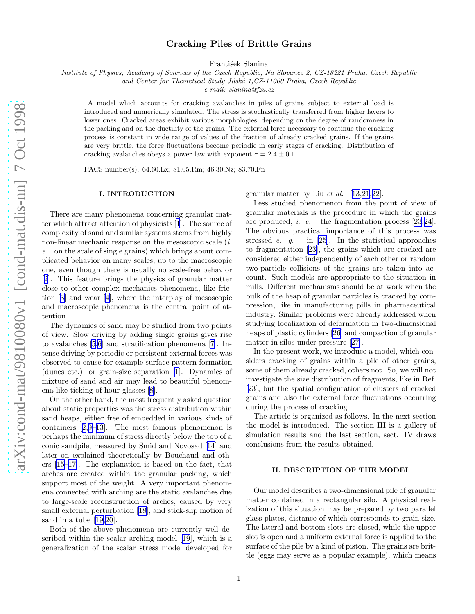# Cracking Piles of Brittle Grains

František Slanina

*Institute of Physics, Academy of Sciences of the Czech Republic, Na Slovance 2, CZ-18221 Praha, Czech Republic*

*and Center for Theoretical Study Jilsk´a 1,CZ-11000 Praha, Czech Republic*

*e-mail: slanina@fzu.cz*

A model which accounts for cracking avalanches in piles of grains subject to external load is introduced and numerically simulated. The stress is stochastically transferred from higher layers to lower ones. Cracked areas exhibit various morphologies, depending on the degree of randomness in the packing and on the ductility of the grains. The external force necessary to continue the cracking process is constant in wide range of values of the fraction of already cracked grains. If the grains are very brittle, the force fluctuations become periodic in early stages of cracking. Distribution of cracking avalanches obeys a power law with exponent  $\tau = 2.4 \pm 0.1$ .

PACS number(s): 64.60.Lx; 81.05.Rm; 46.30.Nz; 83.70.Fn

### I. INTRODUCTION

There are many phenomena concerning granular matter which attract attention of physicists [\[1](#page-5-0)]. The source of complexity of sand and similar systems stems from highly non-linear mechanic response on the mesoscopic scale (i. e. on the scale of single grains) which brings about complicated behavior on many scales, up to the macroscopic one, even though there is usually no scale-free behavior [[2\]](#page-5-0). This feature brings the physics of granular matter close to other complex mechanics phenomena, like friction[[3\]](#page-5-0) and wear[[4\]](#page-5-0), where the interplay of mesoscopic and macroscopic phenomena is the central point of attention.

The dynamics of sand may be studied from two points of view. Slow driving by adding single grains gives rise to avalanches [\[5,6](#page-5-0)] and stratification phenomena [\[7](#page-5-0)]. Intense driving by periodic or persistent external forces was observed to cause for example surface pattern formation (dunes etc.) or grain-size separation [\[1\]](#page-5-0). Dynamics of mixture of sand and air may lead to beautiful phenomena like ticking of hour glasses[[8\]](#page-5-0).

On the other hand, the most frequently asked question about static properties was the stress distribution within sand heaps, either free of embedded in various kinds of containers[[2,9–13\]](#page-5-0). The most famous phenomenon is perhaps the minimum of stress directly below the top of a conic sandpile, measured by Smid and Novosad[[14](#page-5-0)] and later on explained theoretically by Bouchaud and others [\[15–17](#page-5-0)]. The explanation is based on the fact, that arches are created within the granular packing, which support most of the weight. A very important phenomena connected with arching are the static avalanches due to large-scale reconstruction of arches, caused by very small external perturbation[[18\]](#page-5-0), and stick-slip motion of sand in a tube [\[19](#page-5-0),[20\]](#page-5-0).

Both of the above phenomena are currently well described within the scalar arching model [\[19](#page-5-0)], which is a generalization of the scalar stress model developed for

granular matter by Liu et al. [[13,21,22\]](#page-5-0).

Less studied phenomenon from the point of view of granular materials is the procedure in which the grains are produced, i. e. the fragmentation process[[23,24\]](#page-5-0). The obvious practical importance of this process was stressed e. g. in [\[25](#page-5-0)]. In the statistical approaches to fragmentation[[23\]](#page-5-0), the grains which are cracked are considered either independently of each other or random two-particle collisions of the grains are taken into account. Such models are appropriate to the situation in mills. Different mechanisms should be at work when the bulk of the heap of granular particles is cracked by compression, like in manufacturing pills in pharmaceutical industry. Similar problems were already addressed when studying localization of deformation in two-dimensional heaps of plastic cylinders [\[26](#page-5-0)] and compaction of granular matter in silos under pressure[[27](#page-5-0)].

In the present work, we introduce a model, which considers cracking of grains within a pile of other grains, some of them already cracked, others not. So, we will not investigate the size distribution of fragments, like in Ref. [[23\]](#page-5-0), but the spatial configuration of clusters of cracked grains and also the external force fluctuations occurring during the process of cracking.

The article is organized as follows. In the next section the model is introduced. The section III is a gallery of simulation results and the last section, sect. IV draws conclusions from the results obtained.

## II. DESCRIPTION OF THE MODEL

Our model describes a two-dimensional pile of granular matter contained in a rectangular silo. A physical realization of this situation may be prepared by two parallel glass plates, distance of which corresponds to grain size. The lateral and bottom slots are closed, while the upper slot is open and a uniform external force is applied to the surface of the pile by a kind of piston. The grains are brittle (eggs may serve as a popular example), which means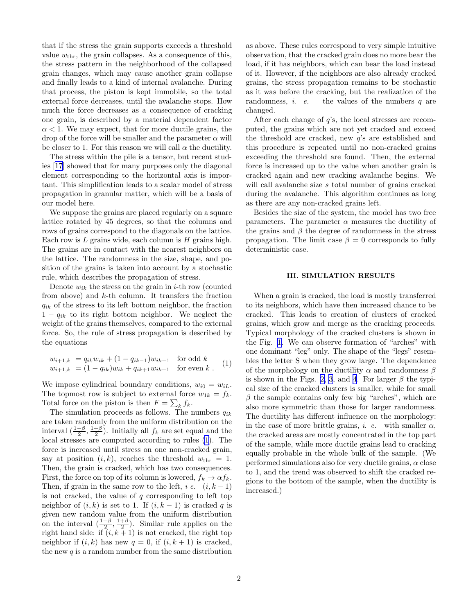that if the stress the grain supports exceeds a threshold value  $w_{\text{thr}}$ , the grain collapses. As a consequence of this, the stress pattern in the neighborhood of the collapsed grain changes, which may cause another grain collapse and finally leads to a kind of internal avalanche. During that process, the piston is kept immobile, so the total external force decreases, until the avalanche stops. How much the force decreases as a consequence of cracking one grain, is described by a material dependent factor  $\alpha$  < 1. We may expect, that for more ductile grains, the drop of the force will be smaller and the parameter  $\alpha$  will be closer to 1. For this reason we will call  $\alpha$  the ductility.

The stress within the pile is a tensor, but recent studies[[17\]](#page-5-0) showed that for many purposes only the diagonal element corresponding to the horizontal axis is important. This simplification leads to a scalar model of stress propagation in granular matter, which will be a basis of our model here.

We suppose the grains are placed regularly on a square lattice rotated by 45 degrees, so that the columns and rows of grains correspond to the diagonals on the lattice. Each row is  $L$  grains wide, each column is  $H$  grains high. The grains are in contact with the nearest neighbors on the lattice. The randomness in the size, shape, and position of the grains is taken into account by a stochastic rule, which describes the propagation of stress.

Denote  $w_{ik}$  the stress on the grain in *i*-th row (counted from above) and  $k$ -th column. It transfers the fraction  $q_{ik}$  of the stress to its left bottom neighbor, the fraction  $1 - q_{ik}$  to its right bottom neighbor. We neglect the weight of the grains themselves, compared to the external force. So, the rule of stress propagation is described by the equations

$$
w_{i+1,k} = q_{ik}w_{ik} + (1 - q_{ik-1})w_{ik-1} \text{ for odd } k
$$
  
\n
$$
w_{i+1,k} = (1 - q_{ik})w_{ik} + q_{ik+1}w_{ik+1} \text{ for even } k.
$$
 (1)

We impose cylindrical boundary conditions,  $w_{i0} = w_{iL}$ . The topmost row is subject to external force  $w_{1k} = f_k$ . Total force on the piston is then  $F = \sum_k f_k$ .

The simulation proceeds as follows. The numbers  $q_{ik}$ are taken randomly from the uniform distribution on the interval  $\left(\frac{1-\beta}{2}, \frac{1+\beta}{2}\right)$ . Initially all  $f_k$  are set equal and the local stresses are computed according to rules (1). The force is increased until stress on one non-cracked grain, say at position  $(i, k)$ , reaches the threshold  $w_{\text{thr}} = 1$ . Then, the grain is cracked, which has two consequences. First, the force on top of its column is lowered,  $f_k \to \alpha f_k$ . Then, if grain in the same row to the left, i.e.  $(i, k-1)$ is not cracked, the value of  $q$  corresponding to left top neighbor of  $(i, k)$  is set to 1. If  $(i, k - 1)$  is cracked q is given new random value from the uniform distribution on the interval  $(\frac{1-\beta}{2}, \frac{1+\beta}{2})$ . Similar rule applies on the right hand side: if  $(i, k + 1)$  is not cracked, the right top neighbor if  $(i, k)$  has new  $q = 0$ , if  $(i, k + 1)$  is cracked, the new  $q$  is a random number from the same distribution as above. These rules correspond to very simple intuitive observation, that the cracked grain does no more bear the load, if it has neighbors, which can bear the load instead of it. However, if the neighbors are also already cracked grains, the stress propagation remains to be stochastic as it was before the cracking, but the realization of the randomness,  $i.$  e. the values of the numbers  $q$  are changed.

After each change of  $q$ 's, the local stresses are recomputed, the grains which are not yet cracked and exceed the threshold are cracked, new q's are established and this procedure is repeated until no non-cracked grains exceeding the threshold are found. Then, the external force is increased up to the value when another grain is cracked again and new cracking avalanche begins. We will call avalanche size s total number of grains cracked during the avalanche. This algorithm continues as long as there are any non-cracked grains left.

Besides the size of the system, the model has two free parameters. The parameter  $\alpha$  measures the ductility of the grains and  $\beta$  the degree of randomness in the stress propagation. The limit case  $\beta = 0$  corresponds to fully deterministic case.

#### III. SIMULATION RESULTS

When a grain is cracked, the load is mostly transferred to its neighbors, which have then increased chance to be cracked. This leads to creation of clusters of cracked grains, which grow and merge as the cracking proceeds. Typical morphology of the cracked clusters is shown in the Fig. [1.](#page-2-0) We can observe formation of "arches" with one dominant "leg" only. The shape of the "legs" resembles the letter S when they grow large. The dependence of the morphology on the ductility  $\alpha$  and randomness  $\beta$ is shown in the Figs. [2, 3](#page-2-0), and [4](#page-2-0). For larger  $\beta$  the typical size of the cracked clusters is smaller, while for small  $\beta$  the sample contains only few big "arches", which are also more symmetric than those for larger randomness. The ductility has different influence on the morphology: in the case of more brittle grains, *i. e.* with smaller  $\alpha$ , the cracked areas are mostly concentrated in the top part of the sample, while more ductile grains lead to cracking equally probable in the whole bulk of the sample. (We performed simulations also for very ductile grains,  $\alpha$  close to 1, and the trend was observed to shift the cracked regions to the bottom of the sample, when the ductility is increased.)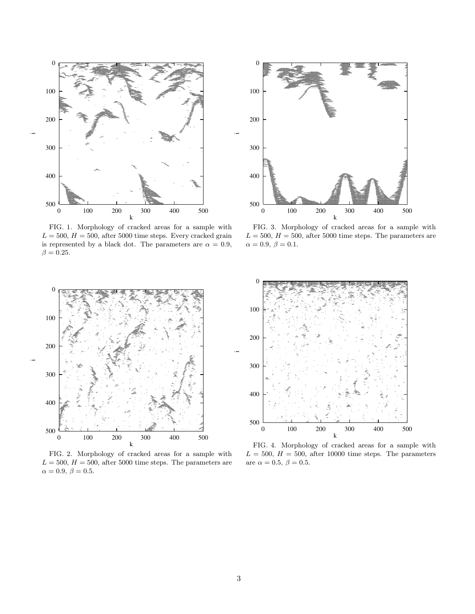<span id="page-2-0"></span>

FIG. 1. Morphology of cracked areas for a sample with  $L = 500, H = 500$ , after 5000 time steps. Every cracked grain is represented by a black dot. The parameters are  $\alpha = 0.9$ ,  $\beta = 0.25$ .



FIG. 3. Morphology of cracked areas for a sample with  $L = 500, H = 500$ , after 5000 time steps. The parameters are  $\alpha=0.9,\ \beta=0.1.$ 



FIG. 2. Morphology of cracked areas for a sample with  $L = 500, H = 500$ , after 5000 time steps. The parameters are  $\alpha=0.9,\,\beta=0.5.$ 



FIG. 4. Morphology of cracked areas for a sample with  $L = 500, H = 500,$  after 10000 time steps. The parameters are  $\alpha = 0.5, \beta = 0.5$ .

i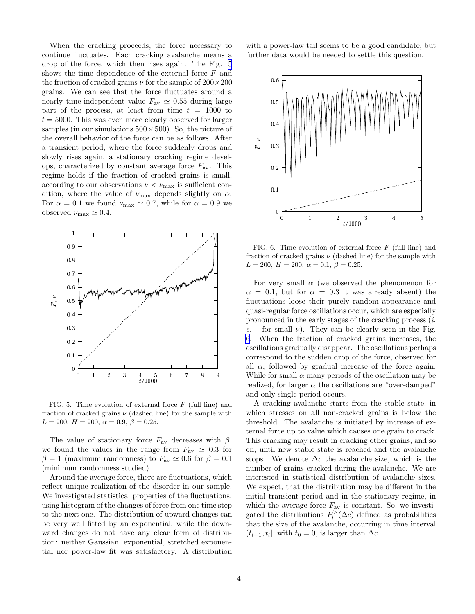When the cracking proceeds, the force necessary to continue fluctuates. Each cracking avalanche means a drop of the force, which then rises again. The Fig. 5 shows the time dependence of the external force  $F$  and the fraction of cracked grains  $\nu$  for the sample of  $200 \times 200$ grains. We can see that the force fluctuates around a nearly time-independent value  $F_{\text{av}} \simeq 0.55$  during large part of the process, at least from time  $t = 1000$  to  $t = 5000$ . This was even more clearly observed for larger samples (in our simulations  $500 \times 500$ ). So, the picture of the overall behavior of the force can be as follows. After a transient period, where the force suddenly drops and slowly rises again, a stationary cracking regime develops, characterized by constant average force  $F_{\text{av}}$ . This regime holds if the fraction of cracked grains is small, according to our observations  $\nu < \nu_{\text{max}}$  is sufficient condition, where the value of  $\nu_{\text{max}}$  depends slightly on  $\alpha$ . For  $\alpha = 0.1$  we found  $\nu_{\text{max}} \simeq 0.7$ , while for  $\alpha = 0.9$  we observed  $\nu_{\text{max}} \simeq 0.4$ .



FIG. 5. Time evolution of external force  $F$  (full line) and fraction of cracked grains  $\nu$  (dashed line) for the sample with  $L = 200, H = 200, \alpha = 0.9, \beta = 0.25.$ 

The value of stationary force  $F_{\text{av}}$  decreases with  $\beta$ . we found the values in the range from  $F_{\text{av}} \simeq 0.3$  for  $\beta = 1$  (maximum randomness) to  $F_{\text{av}} \simeq 0.6$  for  $\beta = 0.1$ (minimum randomness studied).

Around the average force, there are fluctuations, which reflect unique realization of the disorder in our sample. We investigated statistical properties of the fluctuations, using histogram of the changes of force from one time step to the next one. The distribution of upward changes can be very well fitted by an exponential, while the downward changes do not have any clear form of distribution: neither Gaussian, exponential, stretched exponential nor power-law fit was satisfactory. A distribution with a power-law tail seems to be a good candidate, but further data would be needed to settle this question.



FIG. 6. Time evolution of external force  $F$  (full line) and fraction of cracked grains  $\nu$  (dashed line) for the sample with  $L = 200, H = 200, \alpha = 0.1, \beta = 0.25.$ 

For very small  $\alpha$  (we observed the phenomenon for  $\alpha = 0.1$ , but for  $\alpha = 0.3$  it was already absent) the fluctuations loose their purely random appearance and quasi-regular force oscillations occur, which are especially pronounced in the early stages of the cracking process (i. e. for small  $\nu$ ). They can be clearly seen in the Fig. 6. When the fraction of cracked grains increases, the oscillations gradually disappear. The oscillations perhaps correspond to the sudden drop of the force, observed for all  $\alpha$ , followed by gradual increase of the force again. While for small  $\alpha$  many periods of the oscillation may be realized, for larger  $\alpha$  the oscillations are "over-damped" and only single period occurs.

A cracking avalanche starts from the stable state, in which stresses on all non-cracked grains is below the threshold. The avalanche is initiated by increase of external force up to value which causes one grain to crack. This cracking may result in cracking other grains, and so on, until new stable state is reached and the avalanche stops. We denote  $\Delta c$  the avalanche size, which is the number of grains cracked during the avalanche. We are interested in statistical distribution of avalanche sizes. We expect, that the distribution may be different in the initial transient period and in the stationary regime, in which the average force  $F_{\text{av}}$  is constant. So, we investigated the distributions  $P_l^>(\Delta c)$  defined as probabilities that the size of the avalanche, occurring in time interval  $(t_{l-1}, t_l]$ , with  $t_0 = 0$ , is larger than  $\Delta c$ .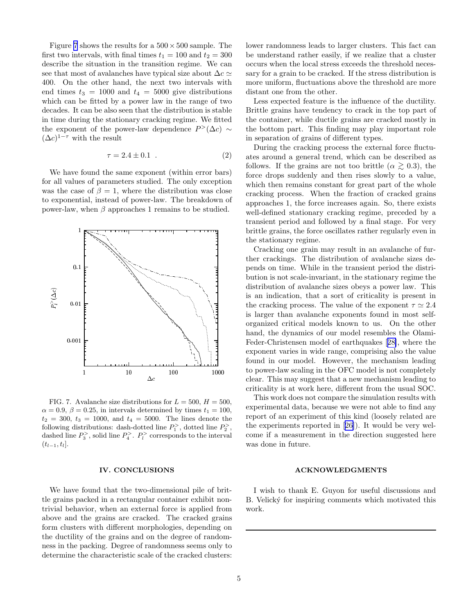Figure 7 shows the results for a  $500 \times 500$  sample. The first two intervals, with final times  $t_1 = 100$  and  $t_2 = 300$ describe the situation in the transition regime. We can see that most of avalanches have typical size about  $\Delta c \simeq$ 400. On the other hand, the next two intervals with end times  $t_3 = 1000$  and  $t_4 = 5000$  give distributions which can be fitted by a power law in the range of two decades. It can be also seen that the distribution is stable in time during the stationary cracking regime. We fitted the exponent of the power-law dependence  $P^>(\Delta c) \sim$  $(\Delta c)^{1-\tau}$  with the result

$$
\tau = 2.4 \pm 0.1 \tag{2}
$$

We have found the same exponent (within error bars) for all values of parameters studied. The only exception was the case of  $\beta = 1$ , where the distribution was close to exponential, instead of power-law. The breakdown of power-law, when  $\beta$  approaches 1 remains to be studied.



FIG. 7. Avalanche size distributions for  $L = 500$ ,  $H = 500$ ,  $\alpha = 0.9, \beta = 0.25$ , in intervals determined by times  $t_1 = 100$ ,  $t_2 = 300, t_3 = 1000,$  and  $t_4 = 5000$ . The lines denote the following distributions: dash-dotted line  $P_1^>$ , dotted line  $P_2^>$ , dashed line  $P_3^>$ , solid line  $P_4^>$ .  $P_l^>$  corresponds to the interval  $(t_{l-1}, t_l].$ 

#### IV. CONCLUSIONS

We have found that the two-dimensional pile of brittle grains packed in a rectangular container exhibit nontrivial behavior, when an external force is applied from above and the grains are cracked. The cracked grains form clusters with different morphologies, depending on the ductility of the grains and on the degree of randomness in the packing. Degree of randomness seems only to determine the characteristic scale of the cracked clusters:

lower randomness leads to larger clusters. This fact can be understand rather easily, if we realize that a cluster occurs when the local stress exceeds the threshold necessary for a grain to be cracked. If the stress distribution is more uniform, fluctuations above the threshold are more distant one from the other.

Less expected feature is the influence of the ductility. Brittle grains have tendency to crack in the top part of the container, while ductile grains are cracked mostly in the bottom part. This finding may play important role in separation of grains of different types.

During the cracking process the external force fluctuates around a general trend, which can be described as follows. If the grains are not too brittle ( $\alpha \gtrsim 0.3$ ), the force drops suddenly and then rises slowly to a value, which then remains constant for great part of the whole cracking process. When the fraction of cracked grains approaches 1, the force increases again. So, there exists well-defined stationary cracking regime, preceded by a transient period and followed by a final stage. For very brittle grains, the force oscillates rather regularly even in the stationary regime.

Cracking one grain may result in an avalanche of further crackings. The distribution of avalanche sizes depends on time. While in the transient period the distribution is not scale-invariant, in the stationary regime the distribution of avalanche sizes obeys a power law. This is an indication, that a sort of criticality is present in the cracking process. The value of the exponent  $\tau \simeq 2.4$ is larger than avalanche exponents found in most selforganized critical models known to us. On the other hand, the dynamics of our model resembles the Olami-Feder-Christensen model of earthquakes[[28\]](#page-5-0), where the exponent varies in wide range, comprising also the value found in our model. However, the mechanism leading to power-law scaling in the OFC model is not completely clear. This may suggest that a new mechanism leading to criticality is at work here, different from the usual SOC.

This work does not compare the simulation results with experimental data, because we were not able to find any report of an experiment of this kind (loosely related are the experiments reported in[[26\]](#page-5-0)). It would be very welcome if a measurement in the direction suggested here was done in future.

#### ACKNOWLEDGMENTS

I wish to thank E. Guyon for useful discussions and B. Velický for inspiring comments which motivated this work.